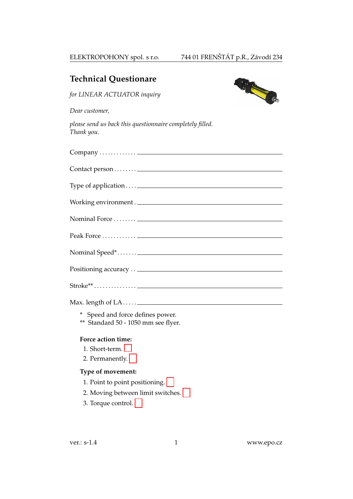| <b>Technical Questionare</b>                                            |
|-------------------------------------------------------------------------|
| C. C. C.<br>for LINEAR ACTUATOR inquiry                                 |
| Dear customer,                                                          |
| please send us back this questionnaire completely filled.<br>Thank you. |
|                                                                         |
|                                                                         |
|                                                                         |
| Working environment.                                                    |
|                                                                         |
|                                                                         |
|                                                                         |
|                                                                         |
|                                                                         |
|                                                                         |
| * Speed and force defines power.<br>** Standard 50 - 1050 mm see flyer. |
| Force action time:                                                      |
| 1. Short-term.                                                          |
| 2. Permanently.                                                         |
| Type of movement:                                                       |
| 1. Point to point positioning.                                          |
| 2. Moving between limit switches.                                       |
| 3. Torque control.                                                      |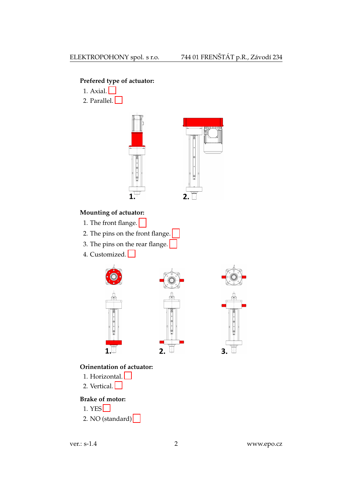# Prefered type of actuator:

- 1. Axial. $\Box$
- 2. Parallel.  $\Box$



# Mounting of actuator:

- 1. The front flange.
- 2. The pins on the front flange.
- 3. The pins on the rear flange.
- 4. Customized. - 1



# Orinentation of actuator:

- 1. Horizontal.  $\Box$
- 2. Vertical. $\Box$

## **Brake of motor:**

- 1. YES $\Box$
- 2. NO (standard) $\sqrt{\phantom{a}}$